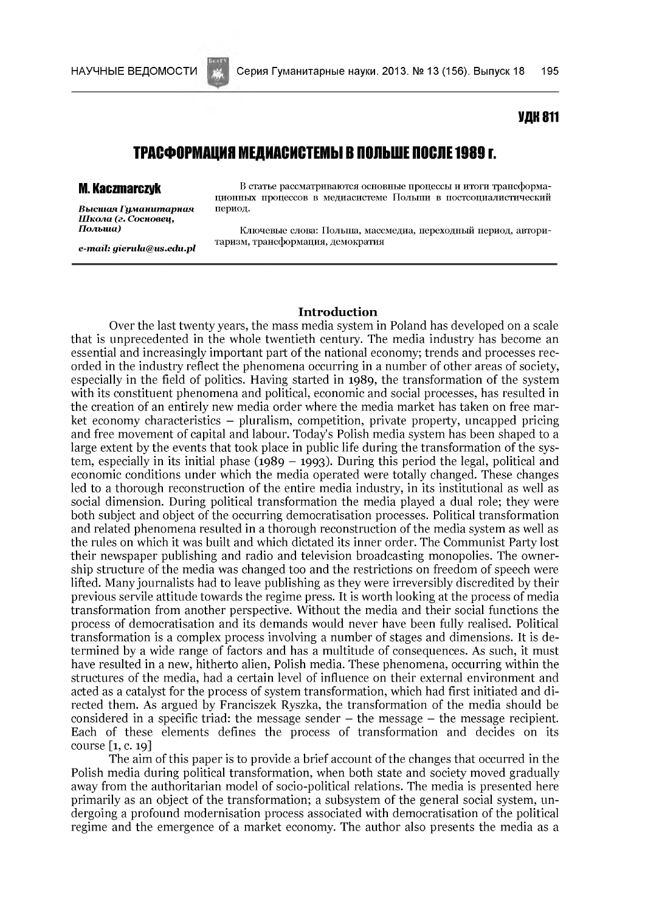# УДК 811

# ТРАСФОРМАЦИЯ МЕДИАСИСТЕМЫ В ПОЛЬШЕ ПОСЛЕ 1989 г.

**Высшая Гуманитарная** период. *Ш кола (г. Сосновец,*

*e-m ail: [gierula@ us.edu.pl](mailto:gierula@us.edu.pl)*

**M. Касzmarczyk** В статье рассматриваются основные процессы и итоги трансформа**ционных процессов в медиасистеме Польши в постсоциалистический**

**Польша**) **Ключевые слова: Польша, массмедиа, переходный период, авторитаризм, трансформация, демократия**

### **Introduction**

Over the last twenty years, the mass media system in Poland has developed on a scale that is unprecedented in the whole twentieth century. The media industry has become an essential and increasingly important part of the national economy; trends and processes recorded in the industry reflect the phenomena occurring in a number of other areas of society, especially in the field of politics. Having started in 1989, the transformation of the system with its constituent phenomena and political, economic and social processes, has resulted in the creation of an entirely new media order where the media market has taken on free mar $ket$  economy characteristics  $-$  pluralism, competition, private property, uncapped pricing and free movement of capital and labour. Today's Polish media system has been shaped to a large extent by the events that took place in public life during the transformation of the system, especially in its initial phase (1989 – 1993). During this period the legal, political and economic conditions under which the media operated were totally changed. These changes led to a thorough reconstruction of the entire media industry, in its institutional as well as social dimension. During political transformation the media played a dual role; they were both subject and object of the occurring democratisation processes. Political transformation and related phenomena resulted in a thorough reconstruction of the media system as well as the rules on which it was built and which dictated its inner order. The Communist Party lost their newspaper publishing and radio and television broadcasting monopolies. The ow nership structure of the media was changed too and the restrictions on freedom of speech were lifted. Many journalists had to leave publishing as they were irreversibly discredited by their previous servile attitude towards the regime press. It is worth looking at the process of media transformation from another perspective. Without the media and their social functions the process of dem ocratisation and its demands would never have been fully realised. Political transformation is a complex process involving a number of stages and dimensions. It is determined by a wide range of factors and has a multitude of consequences. As such, it must have resulted in a new, hitherto alien, Polish media. These phenomena, occurring within the structures of the media, had a certain level of influence on their external environment and acted as a catalyst for the process of system transformation, which had first initiated and directed them. As argued by Franciszek Ryszka, the transformation of the media should be considered in a specific triad: the message sender  $-$  the message  $-$  the message recipient. Each of these elements defines the process of transformation and decides on its course [1, с. 19]

The aim of this paper is to provide a brief account of the changes that occurred in the Polish media during political transformation, when both state and society moved gradually away from the authoritarian model of socio-political relations. The media is presented here primarily as an object of the transformation; a subsystem of the general social system, undergoing a profound modernisation process associated with democratisation of the political regime and the emergence of a market economy. The author also presents the media as a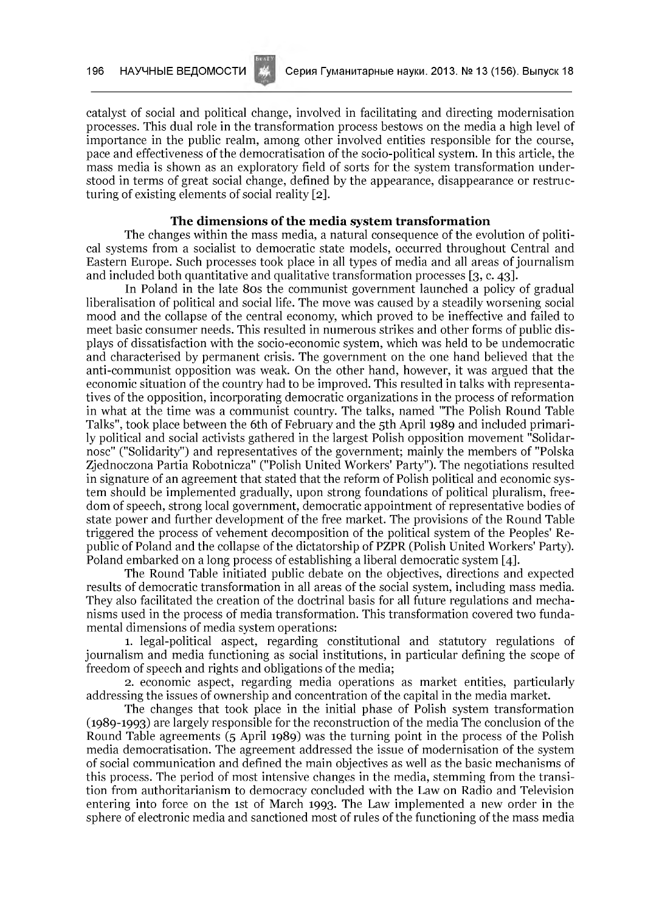catalyst of social and political change, involved in facilitating and directing m odernisation processes. This dual role in the transformation process bestows on the media a high level of im portance in the public realm, among other involved entities responsible for the course, pace and effectiveness of the democratisation of the socio-political system. In this article, the mass media is shown as an exploratory field of sorts for the system transformation understood in terms of great social change, defined by the appearance, disappearance or restructuring of existing elements of social reality  $[2]$ .

## The dimensions of the media system transformation

The changes within the mass media, a natural consequence of the evolution of political systems from a socialist to democratic state models, occurred throughout Central and Eastern Europe. Such processes took place in all types of media and all areas of journalism and included both quantitative and qualitative transformation processes  $[3, c. 43]$ .

In Poland in the late 80s the communist government launched a policy of gradual liberalisation of political and social life. The move was caused by a steadily worsening social mood and the collapse of the central economy, which proved to be ineffective and failed to meet basic consumer needs. This resulted in numerous strikes and other forms of public displays of dissatisfaction with the socio-economic system, which was held to be undemocratic and characterised by permanent crisis. The government on the one hand believed that the anti-communist opposition was weak. On the other hand, however, it was argued that the economic situation of the country had to be improved. This resulted in talks with representatives of the opposition, incorporating democratic organizations in the process of reformation in what at the time was a communist country. The talks, named "The Polish Round Table Talks", took place between the 6th of February and the 5th April 1989 and included primarily political and social activists gathered in the largest Polish opposition movement "Solidarnosc" ("Solidarity") and representatives of the government; mainly the members of "Polska Zjednoczona Partia Robotnicza" ("Polish United Workers' Party"). The negotiations resulted in signature of an agreement that stated that the reform of Polish political and economic system should be implemented gradually, upon strong foundations of political pluralism, freedom of speech, strong local government, democratic appointment of representative bodies of state power and further development of the free market. The provisions of the Round Table triggered the process of vehement decomposition of the political system of the Peoples' Republic of Poland and the collapse of the dictatorship of PZPR (Polish United Workers' Party). Poland embarked on a long process of establishing a liberal democratic system [4].

The Round Table initiated public debate on the objectives, directions and expected results of democratic transformation in all areas of the social system, including mass media. They also facilitated the creation of the doctrinal basis for all future regulations and mechanisms used in the process of media transformation. This transformation covered two fundamental dimensions of media system operations:

1. legal-political aspect, regarding constitutional and statutory regulations of journalism and media functioning as social institutions, in particular defining the scope of freedom of speech and rights and obligations of the media;

2. economic aspect, regarding media operations as market entities, particularly addressing the issues of ownership and concentration of the capital in the media market.

The changes that took place in the initial phase of Polish system transformation (1989-1993) are largely responsible for the reconstruction of the media The conclusion of the Round Table agreements (5 April 1989) was the turning point in the process of the Polish media democratisation. The agreement addressed the issue of modernisation of the system of social communication and defined the main objectives as well as the basic mechanisms of this process. The period of most intensive changes in the media, stemming from the transition from authoritarianism to dem ocracy concluded w ith the Law on Radio and Television entering into force on the 1st of March 1993. The Law implemented a new order in the sphere of electronic media and sanctioned most of rules of the functioning of the mass media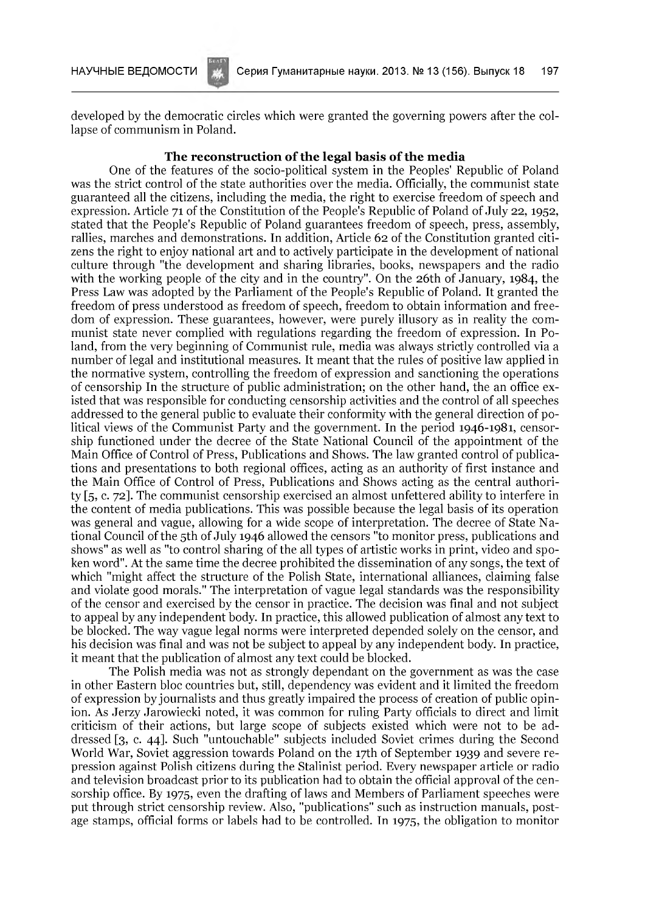developed by the democratic circles which were granted the governing powers after the collapse of communism in Poland.

# The reconstruction of the legal basis of the media

One of the features of the socio-political system in the Peoples' Republic of Poland was the strict control of the state authorities over the media. Officially, the communist state guaranteed all the citizens, including the media, the right to exercise freedom of speech and expression. Article 71 of the Constitution of the People's Republic of Poland of July 22, 1952, stated that the People's Republic of Poland guarantees freedom of speech, press, assembly, rallies, marches and demonstrations. In addition, Article 62 of the Constitution granted citizens the right to enjoy national art and to actively participate in the development of national culture through "the development and sharing libraries, books, newspapers and the radio with the working people of the city and in the country". On the 26th of January, 1984, the Press Law was adopted by the Parliament of the People's Republic of Poland. It granted the freedom of press understood as freedom of speech, freedom to obtain information and freedom of expression. These guarantees, however, were purely illusory as in reality the communist state never complied with regulations regarding the freedom of expression. In Poland, from the very beginning of Communist rule, media was always strictly controlled via a num ber of legal and institutional measures. It meant that the rules of positive law applied in the norm ative system , controlling the freedom of expression and sanctioning the operations of censorship In the structure of public administration; on the other hand, the an office existed that was responsible for conducting censorship activities and the control of all speeches addressed to the general public to evaluate their conformity with the general direction of political views of the Communist Party and the government. In the period 1946-1981, censorship functioned under the decree of the State National Council of the appointment of the Main Office of Control of Press, Publications and Shows. The law granted control of publications and presentations to both regional offices, acting as an authority of first instance and the Main Office of Control of Press, Publications and Shows acting as the central authority [5, c. 72]. The communist censorship exercised an almost unfettered ability to interfere in the content of media publications. This was possible because the legal basis of its operation was general and vague, allowing for a wide scope of interpretation. The decree of State National Council of the 5th of July 1946 allowed the censors "to monitor press, publications and shows" as well as "to control sharing of the all types of artistic works in print, video and spoken word". At the same time the decree prohibited the dissemination of any songs, the text of which "might affect the structure of the Polish State, international alliances, claiming false and violate good morals." The interpretation of vague legal standards was the responsibility of the censor and exercised by the censor in practice. The decision was final and not subject to appeal by any independent body. In practice, this allowed publication of almost any text to be blocked. The way vague legal norms were interpreted depended solely on the censor, and his decision was final and was not be subject to appeal by any independent body. In practice, it meant that the publication of almost any text could be blocked.

The Polish media was not as strongly dependant on the government as was the case in other Eastern bloc countries but, still, dependency was evident and it limited the freedom of expression by journalists and thus greatly impaired the process of creation of public opinion. As Jerzy Jarowiecki noted, it was common for ruling Party officials to direct and limit criticism of their actions, but large scope of subjects existed which were not to be addressed [3, с. 44]. Such "untouchable" subjects included Soviet crimes during the Second World War, Soviet aggression towards Poland on the 17th of September 1939 and severe repression against Polish citizens during the Stalinist period. Every newspaper article or radio and television broadcast prior to its publication had to obtain the official approval of the censorship office. By 1975, even the drafting of laws and Members of Parliament speeches were put through strict censorship review. Also, "publications" such as instruction manuals, postage stamps, official forms or labels had to be controlled. In 1975, the obligation to monitor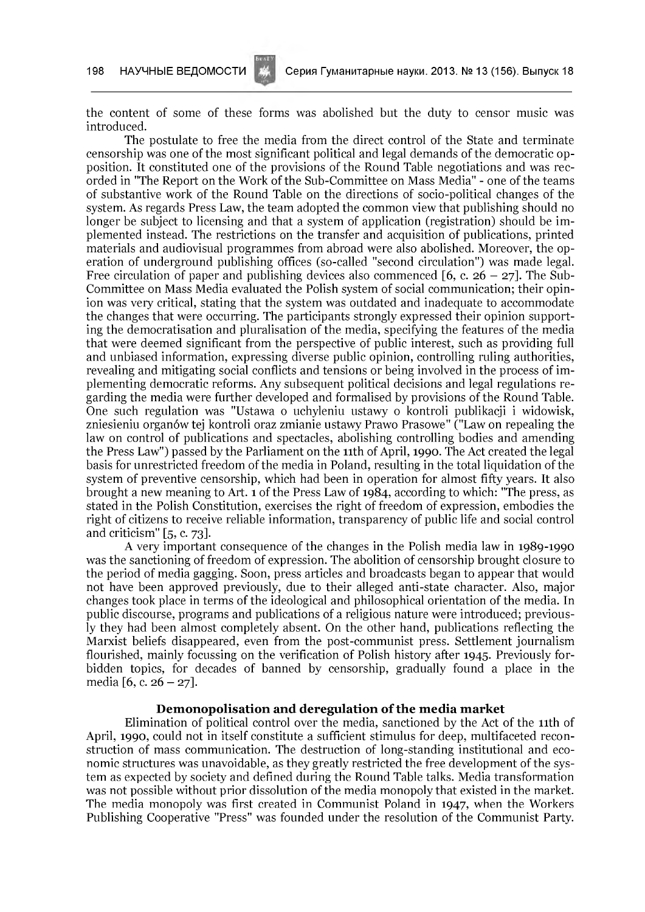the content of some of these forms was abolished but the duty to censor music was introduced.

The postulate to free the media from the direct control of the State and terminate censorship was one of the most significant political and legal demands of the democratic opposition. It constituted one of the provisions of the Round Table negotiations and was recorded in "The Report on the Work of the Sub-Committee on Mass Media" - one of the teams of substantive work of the Round Table on the directions of socio-political changes of the system. As regards Press Law, the team adopted the common view that publishing should no longer be subject to licensing and that a system of application (registration) should be im plemented instead. The restrictions on the transfer and acquisition of publications, printed materials and audiovisual programmes from abroad were also abolished. Moreover, the operation of underground publishing offices (so-called "second circulation") was made legal. Free circulation of paper and publishing devices also commenced [6, c.  $26 - 27$ ]. The Sub-Committee on Mass Media evaluated the Polish system of social communication; their opinion was very critical, stating that the system was outdated and inadequate to accommodate the changes that were occurring. The participants strongly expressed their opinion supporting the democratisation and pluralisation of the media, specifying the features of the media that were deemed significant from the perspective of public interest, such as providing full and unbiased information, expressing diverse public opinion, controlling ruling authorities, revealing and mitigating social conflicts and tensions or being involved in the process of implementing democratic reforms. Any subsequent political decisions and legal regulations regarding the media were further developed and formalised by provisions of the Round Table. One such regulation was "Ustawa o uchyleniu ustawy o kontroli publikacji i widowisk, zniesieniu organów tej kontroli oraz zmianie ustawy Prawo Prasowe" ("Law on repealing the law on control of publications and spectacles, abolishing controlling bodies and amending the Press Law") passed by the Parliament on the 11th of April, 1990. The Act created the legal basis for unrestricted freedom of the media in Poland, resulting in the total liquidation of the system of preventive censorship, which had been in operation for almost fifty years. It also brought a new meaning to Art. 1 of the Press Law of  $1984$ , according to which: "The press, as stated in the Polish Constitution, exercises the right of freedom of expression, embodies the right of citizens to receive reliable information, transparency of public life and social control and criticism" [5, с. 73].

A very important consequence of the changes in the Polish media law in 1989-1990 was the sanctioning of freedom of expression. The abolition of censorship brought closure to the period of media gagging. Soon, press articles and broadcasts began to appear that would not have been approved previously, due to their alleged anti-state character. Also, major changes took place in terms of the ideological and philosophical orientation of the media. In public discourse, programs and publications of a religious nature were introduced; previously they had been almost completely absent. On the other hand, publications reflecting the Marxist beliefs disappeared, even from the post-communist press. Settlement journalism flourished, mainly focussing on the verification of Polish history after 1945. Previously forbidden topics, for decades of banned by censorship, gradually found a place in the media [6, c.  $26 - 27$ ].

## Demonopolisation and deregulation of the media market

Elimination of political control over the media, sanctioned by the Act of the 11th of April, 1990, could not in itself constitute a sufficient stimulus for deep, multifaceted reconstruction of mass communication. The destruction of long-standing institutional and economic structures was unavoidable, as they greatly restricted the free development of the system as expected by society and defined during the Round Table talks. Media transformation was not possible without prior dissolution of the media monopoly that existed in the market. The media monopoly was first created in Communist Poland in 1947, when the Workers Publishing Cooperative "Press" was founded under the resolution of the Communist Party.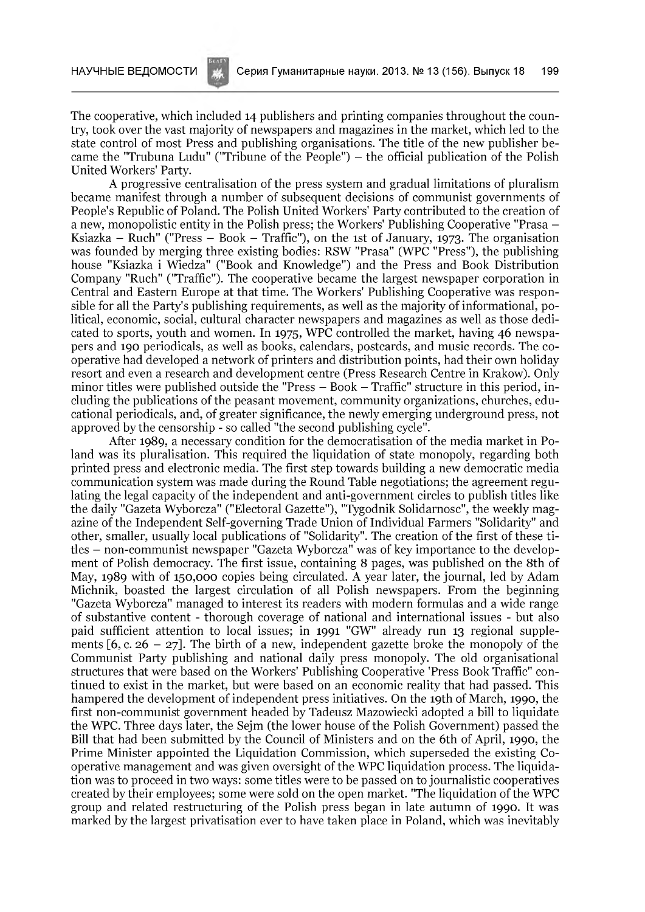The cooperative, which included 14 publishers and printing companies throughout the country, took over the vast majority of newspapers and magazines in the market, which led to the state control of most Press and publishing organisations. The title of the new publisher became the "Trubuna Ludu" ("Tribune of the People")  $-$  the official publication of the Polish United Workers' Party.

A progressive centralisation of the press system and gradual limitations of pluralism became manifest through a number of subsequent decisions of communist governments of People's Republic of Poland. The Polish United Workers' Party contributed to the creation of a new, monopolistic entity in the Polish press; the Workers' Publishing Cooperative "Prasa – Ksiazka – Ruch" ("Press – Book – Traffic"), on the 1st of January, 1973. The organisation was founded by merging three existing bodies: RSW "Prasa" (WPC "Press"), the publishing house "Ksiazka i Wiedza" ("Book and Knowledge") and the Press and Book Distribution Company "Ruch" ("Traffic"). The cooperative became the largest newspaper corporation in Central and Eastern Europe at that time. The Workers' Publishing Cooperative was responsible for all the Party's publishing requirements, as well as the majority of informational, political, economic, social, cultural character newspapers and magazines as well as those dedicated to sports, youth and women. In 1975, WPC controlled the market, having 46 newspapers and 190 periodicals, as well as books, calendars, postcards, and music records. The cooperative had developed a network of printers and distribution points, had their own holiday resort and even a research and development centre (Press Research Centre in Krakow). Only minor titles were published outside the "Press - Book - Traffic" structure in this period, including the publications of the peasant movement, community organizations, churches, educational periodicals, and, of greater significance, the newly emerging underground press, not approved by the censorship - so called "the second publishing cycle".

After 1989, a necessary condition for the democratisation of the media market in Poland was its pluralisation. This required the liquidation of state monopoly, regarding both printed press and electronic media. The first step towards building a new democratic media communication system was made during the Round Table negotiations; the agreement regulating the legal capacity of the independent and anti-government circles to publish titles like the daily "Gazeta Wyborcza" ("Electoral Gazette"), "Tygodnik Solidarnosc", the weekly magazine of the Independent Self-governing Trade Union of Individual Farmers "Solidarity" and other, smaller, usually local publications of "Solidarity". The creation of the first of these titles – non-communist newspaper "Gazeta Wyborcza" was of key importance to the development of Polish democracy. The first issue, containing 8 pages, was published on the 8th of May, 1989 with of 150,000 copies being circulated. A year later, the journal, led by Adam Michnik, boasted the largest circulation of all Polish newspapers. From the beginning "Gazeta Wyborcza" managed to interest its readers with modern formulas and a wide range of substantive content - thorough coverage of national and international issues - but also paid sufficient attention to local issues; in 1991 "GW" already run 13 regional supplements  $[6, c. 26 - 27]$ . The birth of a new, independent gazette broke the monopoly of the Communist Party publishing and national daily press monopoly. The old organisational structures that were based on the Workers' Publishing Cooperative 'Press Book Traffic" continued to exist in the market, but were based on an economic reality that had passed. This ham pered the development of independent press initiatives. On the 19th of March, 1990, the first non-communist government headed by Tadeusz Mazowiecki adopted a bill to liquidate the WPC. Three days later, the Sejm (the lower house of the Polish Government) passed the Bill that had been submitted by the Council of Ministers and on the 6th of April, 1990, the Prime Minister appointed the Liquidation Commission, which superseded the existing Cooperative management and was given oversight of the WPC liquidation process. The liquidation was to proceed in two ways: some titles were to be passed on to journalistic cooperatives created by their employees; some were sold on the open market. "The liquidation of the WPC group and related restructuring of the Polish press began in late autumn of 1990. It was marked by the largest privatisation ever to have taken place in Poland, which was inevitably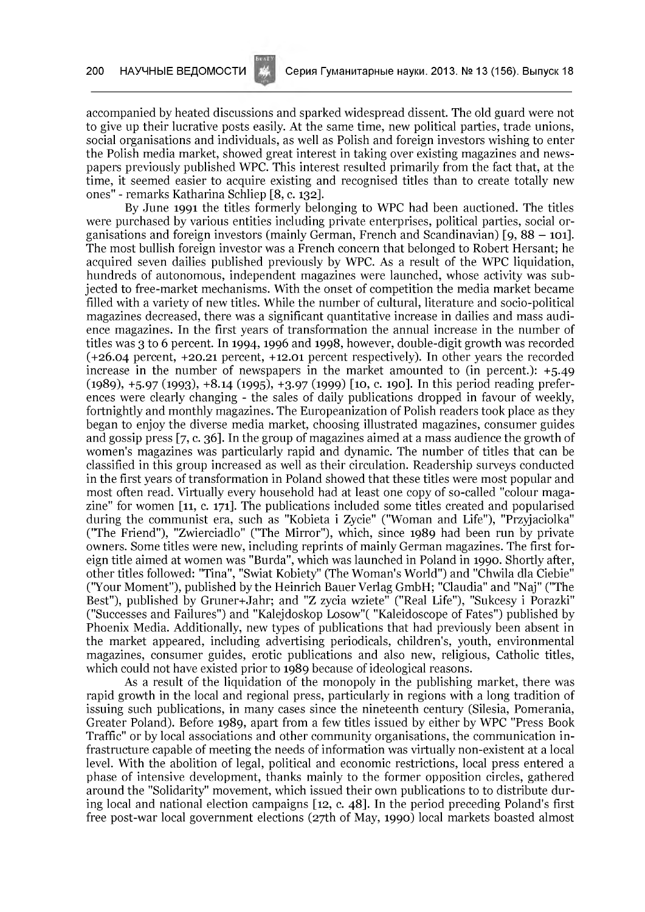accompanied by heated discussions and sparked widespread dissent. The old guard were not to give up their lucrative posts easily. At the same time, new political parties, trade unions, social organisations and individuals, as well as Polish and foreign investors wishing to enter the Polish media market, showed great interest in taking over existing magazines and newspapers previously published WPC. This interest resulted primarily from the fact that, at the time, it seemed easier to acquire existing and recognised titles than to create totally new ones" - remarks Katharina Schliep [8, c. 132].

By June 1991 the titles formerly belonging to WPC had been auctioned. The titles were purchased by various entities including private enterprises, political parties, social organisations and foreign investors (mainly German, French and Scandinavian) [9,  $88 - 101$ ]. The most bullish foreign investor was a French concern that belonged to Robert Hersant; he acquired seven dailies published previously by WPC. As a result of the WPC liquidation, hundreds of autonomous, independent magazines were launched, whose activity was subjected to free-market mechanisms. With the onset of competition the media market became filled with a variety of new titles. While the number of cultural, literature and socio-political magazines decreased, there was a significant quantitative increase in dailies and mass audience magazines. In the first years of transformation the annual increase in the number of titles was 3 to 6 percent. In 1994, 1996 and 1998, however, double-digit growth was recorded (+26.04 percent, +20.21 percent, +12.01 percent respectively). In other years the recorded increase in the number of newspapers in the market amounted to (in percent.):  $+5.49$ (1989), +5.97 (1993), +8.14 (1995), +3.97 (1999) [10, с. 190]. In this period reading preferences were clearly changing - the sales of daily publications dropped in favour of weekly, fortnightly and monthly magazines. The Europeanization of Polish readers took place as they began to enjoy the diverse media market, choosing illustrated magazines, consumer guides and gossip press  $[\tau, c. 36]$ . In the group of magazines aimed at a mass audience the growth of women's magazines was particularly rapid and dynamic. The number of titles that can be classified in this group increased as well as their circulation. Readership surveys conducted in the first years of transformation in Poland showed that these titles were most popular and most often read. Virtually every household had at least one copy of so-called "colour magazine" for women  $\lceil 11, c. 171 \rceil$ . The publications included some titles created and popularised during the communist era, such as "Kobieta i Zycie" ("Woman and Life"), "Przyjaciolka" ("The Friend"), "Zwierciadlo" ("The Mirror"), which, since 1989 had been run by private owners. Some titles were new, including reprints of mainly German magazines. The first foreign title aimed at women was "Burda", which was launched in Poland in 1990. Shortly after, other titles followed: "Tina", "Swiat Kobiety" (The Woman's World") and "Chwila dla Ciebie" ("Your Moment"), published by the Heinrich Bauer Verlag GmbH; "Claudia" and "Naj" ("The Best"), published by Gruner+Jahr; and "Z zycia wziete" ("Real Life"), "Sukcesy i Porazki" ("Successes and Failures") and "Kalejdoskop Losow"( "Kaleidoscope of Fates") published by Phoenix Media. Additionally, new types of publications that had previously been absent in the market appeared, including advertising periodicals, children's, youth, environmental magazines, consumer guides, erotic publications and also new, religious, Catholic titles, which could not have existed prior to 1989 because of ideological reasons.

As a result of the liquidation of the monopoly in the publishing market, there was rapid growth in the local and regional press, particularly in regions with a long tradition of issuing such publications, in many cases since the nineteenth century (Silesia, Pomerania, Greater Poland). Before 1989, apart from a few titles issued by either by WPC "Press Book Traffic" or by local associations and other community organisations, the communication infrastructure capable of meeting the needs of information was virtually non-existent at a local level. With the abolition of legal, political and economic restrictions, local press entered a phase of intensive development, thanks mainly to the former opposition circles, gathered around the "Solidarity" movement, which issued their own publications to to distribute during local and national election campaigns [12, c. 48]. In the period preceding Poland's first free post-war local government elections (27th of May, 1990) local markets boasted almost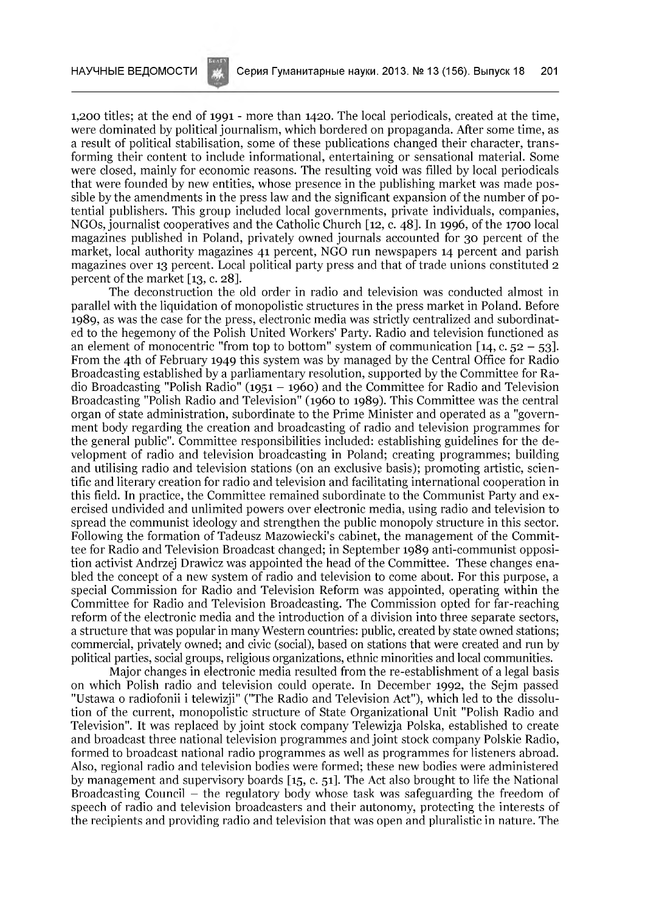1,200 titles; at the end of 1991 - more than  $1420$ . The local periodicals, created at the time, were dominated by political journalism, which bordered on propaganda. After some time, as a result of political stabilisation, some of these publications changed their character, transforming their content to include informational, entertaining or sensational material. Some were closed, mainly for economic reasons. The resulting void was filled by local periodicals that were founded by new entities, whose presence in the publishing market was made possible by the amendments in the press law and the significant expansion of the number of potential publishers. This group included local governments, private individuals, companies, NGOs, journalist cooperatives and the Catholic Church [12, с. 48]. In 1996, of the 1700 local magazines published in Poland, privately owned journals accounted for 30 percent of the market, local authority magazines 41 percent, NGO run newspapers 14 percent and parish magazines over 13 percent. Local political party press and that of trade unions constituted 2 percent of the market  $[13, c. 28]$ .

The deconstruction the old order in radio and television was conducted almost in parallel with the liquidation of monopolistic structures in the press market in Poland. Before 1989, as was the case for the press, electronic m edia was strictly centralized and subordinated to the hegemony of the Polish United Workers' Party. Radio and television functioned as an element of monocentric "from top to bottom" system of communication [14, c.  $52 - 53$ ]. From the 4th of February 1949 this system was by managed by the Central Office for Radio Broadcasting established by a parliamentary resolution, supported by the Committee for Radio Broadcasting "Polish Radio" (1951 – 1960) and the Committee for Radio and Television Broadcasting "Polish Radio and Television" (1960 to 1989). This Committee was the central organ of state administration, subordinate to the Prime Minister and operated as a "government body regarding the creation and broadcasting of radio and television programmes for the general public". Committee responsibilities included: establishing guidelines for the development of radio and television broadcasting in Poland; creating programmes; building and utilising radio and television stations (on an exclusive basis); promoting artistic, scientific and literary creation for radio and television and facilitating international cooperation in this field. In practice, the Committee remained subordinate to the Communist Party and exercised undivided and unlimited powers over electronic media, using radio and television to spread the communist ideology and strengthen the public monopoly structure in this sector. Following the formation of Tadeusz Mazowiecki's cabinet, the management of the Committee for Radio and Television Broadcast changed; in September 1989 anti-communist opposition activist Andrzej Drawicz was appointed the head of the Committee. These changes enabled the concept of a new system of radio and television to come about. For this purpose, a special Commission for Radio and Television Reform was appointed, operating within the Committee for Radio and Television Broadcasting. The Commission opted for far-reaching reform of the electronic media and the introduction of a division into three separate sectors, a structure that was popular in many Western countries: public, created by state owned stations; commercial, privately owned; and civic (social), based on stations that were created and run by political parties, social groups, religious organizations, ethnic minorities and local communities.

Major changes in electronic media resulted from the re-establishment of a legal basis on which Polish radio and television could operate. In December 1992, the Sejm passed "Ustawa o radiofonii i telewizji" ("The Radio and Television Act"), which led to the dissolution of the current, monopolistic structure of State Organizational Unit "Polish Radio and Television". It was replaced by joint stock company Telewizja Polska, established to create and broadcast three national television programmes and joint stock company Polskie Radio, formed to broadcast national radio programmes as well as programmes for listeners abroad. Also, regional radio and television bodies were formed; these new bodies were administered by management and supervisory boards  $[15, c. 51]$ . The Act also brought to life the National Broadcasting Council  $-$  the regulatory body whose task was safeguarding the freedom of speech of radio and television broadcasters and their autonomy, protecting the interests of the recipients and providing radio and television that was open and pluralistic in nature. The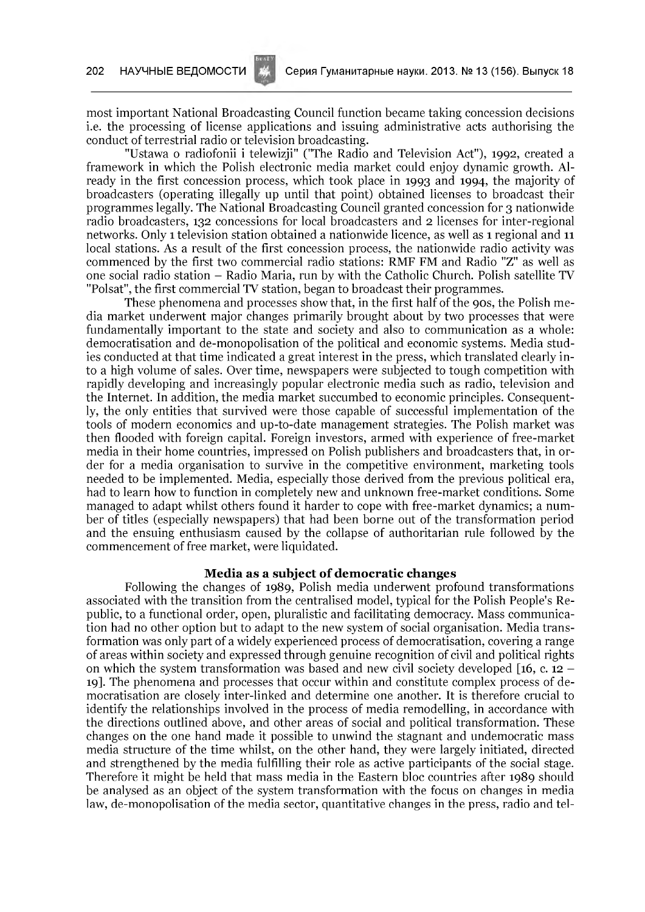most important National Broadcasting Council function became taking concession decisions i.e. the processing of license applications and issuing administrative acts authorising the conduct of terrestrial radio or television broadcasting.

"Ustawa o radiofonii i telewizji" ("The Radio and Television Act"), 1992, created a framework in which the Polish electronic media market could enjoy dynamic growth. Already in the first concession process, which took place in 1993 and 1994, the majority of broadcasters (operating illegally up until that point) obtained licenses to broadcast their programmes legally. The National Broadcasting Council granted concession for 3 nationwide radio broadcasters, 132 concessions for local broadcasters and 2 licenses for inter-regional networks. Only 1 television station obtained a nationwide licence, as well as 1 regional and 11 local stations. As a result of the first concession process, the nationwide radio activity was commenced by the first two commercial radio stations: RMF FM and Radio "Z" as well as one social radio station - Radio Maria, run by with the Catholic Church. Polish satellite TV "Polsat", the first commercial TV station, began to broadcast their programmes.

These phenomena and processes show that, in the first half of the 90s, the Polish media market underwent major changes primarily brought about by two processes that were fundamentally important to the state and society and also to communication as a whole: democratisation and de-monopolisation of the political and economic systems. Media studies conducted at that time indicated a great interest in the press, which translated clearly into a high volume of sales. Over time, newspapers were subjected to tough competition with rapidly developing and increasingly popular electronic media such as radio, television and the Internet. In addition, the media market succumbed to economic principles. Consequently, the only entities that survived were those capable of successful implementation of the tools of modern economics and up-to-date management strategies. The Polish market was then flooded with foreign capital. Foreign investors, armed with experience of free-market media in their home countries, impressed on Polish publishers and broadcasters that, in order for a media organisation to survive in the competitive environment, marketing tools needed to be implemented. Media, especially those derived from the previous political era, had to learn how to function in completely new and unknown free-market conditions. Some managed to adapt whilst others found it harder to cope with free-market dynamics; a number of titles (especially newspapers) that had been borne out of the transformation period and the ensuing enthusiasm caused by the collapse of authoritarian rule followed by the commencement of free market, were liquidated.

### Media as a subject of democratic changes

Following the changes of 1989, Polish media underwent profound transformations associated with the transition from the centralised model, typical for the Polish People's Republic, to a functional order, open, pluralistic and facilitating democracy. Mass communication had no other option but to adapt to the new system of social organisation. Media transformation was only part of a widely experienced process of democratisation, covering a range of areas within society and expressed through genuine recognition of civil and political rights on which the system transformation was based and new civil society developed [16, c. 12  $-$ 19]. The phenomena and processes that occur within and constitute complex process of democratisation are closely inter-linked and determine one another. It is therefore crucial to identify the relationships involved in the process of media remodelling, in accordance with the directions outlined above, and other areas of social and political transformation. These changes on the one hand made it possible to unwind the stagnant and undem ocratic mass media structure of the time whilst, on the other hand, they were largely initiated, directed and strengthened by the media fulfilling their role as active participants of the social stage. Therefore it might be held that mass media in the Eastern bloc countries after 1989 should be analysed as an object of the system transformation with the focus on changes in media law, de-monopolisation of the media sector, quantitative changes in the press, radio and tel-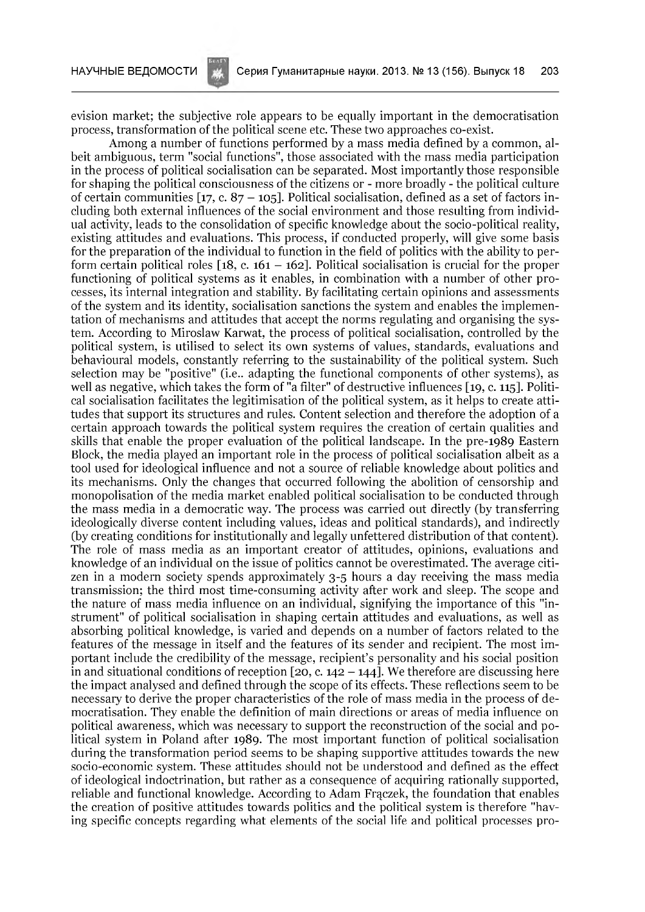evision market; the subjective role appears to be equally important in the democratisation process, transform ation of the political scene etc. These two approaches co-exist.

Among a number of functions performed by a mass media defined by a common, albeit ambiguous, term "social functions", those associated with the mass media participation in the process of political socialisation can be separated. Most im portantly those responsible for shaping the political consciousness of the citizens or - more broadly - the political culture of certain communities  $[17, c. 87 - 105]$ . Political socialisation, defined as a set of factors including both external influences of the social environment and those resulting from individual activity, leads to the consolidation of specific knowledge about the socio-political reality, existing attitudes and evaluations. This process, if conducted properly, will give some basis for the preparation of the individual to function in the field of politics with the ability to perform certain political roles [18, c. 161 – 162]. Political socialisation is crucial for the proper functioning of political systems as it enables, in combination with a number of other processes, its internal integration and stability. By facilitating certain opinions and assessments of the system and its identity, socialisation sanctions the system and enables the implementation of mechanisms and attitudes that accept the norms regulating and organising the system. According to Miroslaw Karwat, the process of political socialisation, controlled by the political system, is utilised to select its own systems of values, standards, evaluations and behavioural models, constantly referring to the sustainability of the political system. Such selection may be "positive" (i.e.. adapting the functional components of other systems), as well as negative, which takes the form of "a filter" of destructive influences [19, c. 115]. Political socialisation facilitates the legitim isation of the political system, as it helps to create attitudes that support its structures and rules. Content selection and therefore the adoption of a certain approach towards the political system requires the creation of certain qualities and skills that enable the proper evaluation of the political landscape. In the pre-1989 Eastern Block, the media played an important role in the process of political socialisation albeit as a tool used for ideological influence and not a source of reliable knowledge about politics and its mechanisms. Only the changes that occurred following the abolition of censorship and monopolisation of the media market enabled political socialisation to be conducted through the mass media in a dem ocratic way. The process was carried out directly (by transferring ideologically diverse content including values, ideas and political standards), and indirectly (by creating conditions for institutionally and legally unfettered distribution of that content). The role of mass media as an important creator of attitudes, opinions, evaluations and knowledge of an individual on the issue of politics cannot be overestimated. The average citizen in a modern society spends approxim ately 3-5 hours a day receiving the mass media transmission; the third most time-consuming activity after work and sleep. The scope and the nature of mass media influence on an individual, signifying the importance of this "instrum ent" of political socialisation in shaping certain attitudes and evaluations, as well as absorbing political knowledge, is varied and depends on a number of factors related to the features of the message in itself and the features of its sender and recipient. The most important include the credibility of the message, recipient's personality and his social position in and situational conditions of reception [20, c.  $142 - 144$ ]. We therefore are discussing here the impact analysed and defined through the scope of its effects. These reflections seem to be necessary to derive the proper characteristics of the role of mass media in the process of democratisation. They enable the definition of main directions or areas of media influence on political awareness, which was necessary to support the reconstruction of the social and political system in Poland after 1989. The most important function of political socialisation during the transformation period seems to be shaping supportive attitudes towards the new socio-economic system. These attitudes should not be understood and defined as the effect of ideological indoctrination, but rather as a consequence of acquiring rationally supported, reliable and functional knowledge. According to Adam Fraczek, the foundation that enables the creation of positive attitudes towards politics and the political system is therefore "having specific concepts regarding what elements of the social life and political processes pro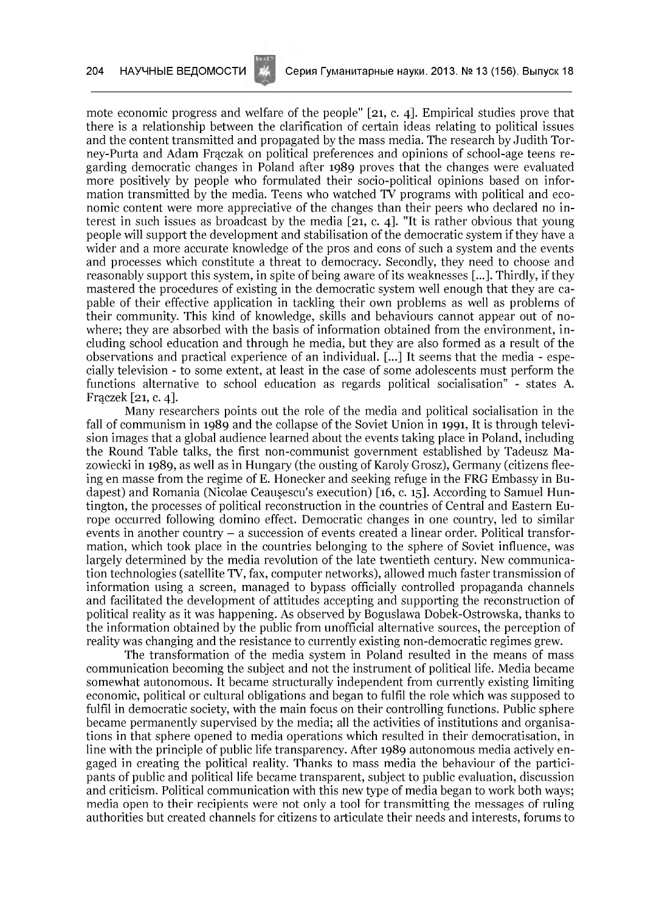mote economic progress and welfare of the people" [21, c. 4]. Empirical studies prove that there is a relationship between the clarification of certain ideas relating to political issues and the content transmitted and propagated by the mass media. The research by Judith Torney-Purta and Adam Fraczak on political preferences and opinions of school-age teens regarding dem ocratic changes in Poland after 1989 proves that the changes were evaluated more positively by people who formulated their socio-political opinions based on information transmitted by the media. Teens who watched TV programs with political and economic content were more appreciative of the changes than their peers who declared no interest in such issues as broadcast by the media [21, c. 4]. "It is rather obvious that young people will support the development and stabilisation of the democratic system if they have a wider and a more accurate knowledge of the pros and cons of such a system and the events and processes which constitute a threat to democracy. Secondly, they need to choose and reasonably support this system, in spite of being aware of its weaknesses [...]. Thirdly, if they mastered the procedures of existing in the democratic system well enough that they are capable of their effective application in tackling their own problems as well as problems of their community. This kind of knowledge, skills and behaviours cannot appear out of nowhere; they are absorbed with the basis of information obtained from the environment, including school education and through he media, but they are also formed as a result of the observations and practical experience of an individual. [...] It seems that the media - especially television - to some extent, at least in the case of some adolescents must perform the functions alternative to school education as regards political socialisation" - states A. Fraczek [21, c. 4].

Many researchers points out the role of the media and political socialisation in the fall of communism in 1989 and the collapse of the Soviet Union in 1991, It is through television images that a global audience learned about the events taking place in Poland, including the Round Table talks, the first non-communist government established by Tadeusz Mazowiecki in 1989, as well as in Hungary (the ousting of Karoly Grosz), Germany (citizens fleeing en masse from the regime of E. Honecker and seeking refuge in the FRG Embassy in Budapest) and Romania (Nicolae Ceausescu's execution)  $[16, c. 15]$ . According to Samuel Huntington, the processes of political reconstruction in the countries of Central and Eastern Europe occurred following domino effect. Democratic changes in one country, led to similar events in another country  $-$  a succession of events created a linear order. Political transformation, which took place in the countries belonging to the sphere of Soviet influence, was largely determined by the media revolution of the late twentieth century. New communication technologies (satellite TV, fax, computer networks), allowed much faster transmission of information using a screen, managed to bypass officially controlled propaganda channels and facilitated the development of attitudes accepting and supporting the reconstruction of political reality as it was happening. As observed by Boguslawa Dobek-Ostrowska, thanks to the information obtained by the public from unofficial alternative sources, the perception of reality was changing and the resistance to currently existing non-democratic regimes grew.

The transformation of the media system in Poland resulted in the means of mass communication becoming the subject and not the instrument of political life. Media became somewhat autonomous. It became structurally independent from currently existing limiting economic, political or cultural obligations and began to fulfil the role which was supposed to fulfil in democratic society, with the main focus on their controlling functions. Public sphere became permanently supervised by the media; all the activities of institutions and organisations in that sphere opened to media operations which resulted in their democratisation, in line with the principle of public life transparency. After 1989 autonomous media actively engaged in creating the political reality. Thanks to mass media the behaviour of the participants of public and political life became transparent, subject to public evaluation, discussion and criticism. Political communication with this new type of media began to work both ways; media open to their recipients were not only a tool for transmitting the messages of ruling authorities but created channels for citizens to articulate their needs and interests, forums to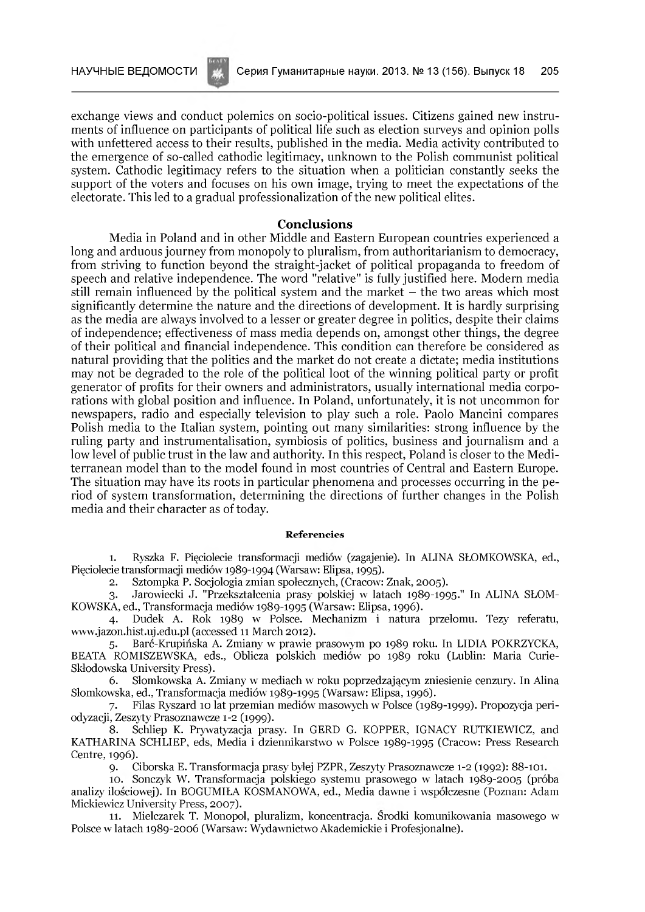exchange views and conduct polemics on socio-political issues. Citizens gained new instruments of influence on participants of political life such as election surveys and opinion polls with unfettered access to their results, published in the media. Media activity contributed to the emergence of so-called cathodic legitimacy, unknown to the Polish communist political system. Cathodic legitim acy refers to the situation when a politician constantly seeks the support of the voters and focuses on his own image, trying to meet the expectations of the electorate. This led to a gradual professionalization of the new political elites.

### **Conclusions**

Media in Poland and in other Middle and Eastern European countries experienced a long and arduous journey from monopoly to pluralism, from authoritarianism to democracy, from striving to function beyond the straight-jacket of political propaganda to freedom of speech and relative independence. The word "relative" is fully justified here. Modern media still remain influenced by the political system and the market  $-$  the two areas which most significantly determine the nature and the directions of development. It is hardly surprising as the media are always involved to a lesser or greater degree in politics, despite their claims of independence; effectiveness of mass media depends on, am ongst other things, the degree of their political and financial independence. This condition can therefore be considered as natural providing that the politics and the market do not create a dictate; media institutions may not be degraded to the role of the political loot of the winning political party or profit generator of profits for their owners and administrators, usually international media corporations with global position and influence. In Poland, unfortunately, it is not uncommon for newspapers, radio and especially television to play such a role. Paolo Mancini compares Polish media to the Italian system, pointing out many similarities: strong influence by the ruling party and instrumentalisation, symbiosis of politics, business and journalism and a low level of public trust in the law and authority. In this respect, Poland is closer to the Mediterranean model than to the model found in most countries of Central and Eastern Europe. The situation may have its roots in particular phenomena and processes occurring in the period of system transformation, determining the directions of further changes in the Polish media and their character as of today.

### **Referencies**

1. Ryszka F. Pięciolecie transformacji mediów (zagajenie). In ALINA SŁOMKOWSKA, ed., Pięciolecie transformacji mediów 1989-1994 (Warsaw: Elipsa, 1995).

2. Sztompka P. Socjologia zmian spolecznych, (Cracow: Znak, 2005).

3. Jarowiecki J. "Przeksztalcenia prasy polskiej w latach 1989-1995." In ALINA StOM KOWSKA, ed., Transformacja mediow 1989-1995 (Warsaw: Elipsa, 1996).

4. Dudek A. Rok 1989 w Polsce. Mechanizm i natura przelomu. Tezy referatu, [www.jazon.hist.uj.edu.pl](http://www.jazon.hist.uj.edu.pl) (accessed 11 March 2012).

5. Barc-Krupinska A. Zmiany w prawie prasowym po 1989 roku. In LIDIA POKRZYCKA, BEATA ROMISZEWSKA, eds., Oblicza polskich mediow po 1989 roku (Lublin: Maria Curie-Sklodowska University Press).

6. Slomkowska A. Zmiany w mediach w roku poprzedzaj^cym zniesienie cenzury. In Alina Slomkowska, ed., Transformacja mediow 1989-1995 (Warsaw: Elipsa, 1996).

7. Filas Ryszard 10 lat przemian mediow masowych w Polsce (1989-1999). Propozycja periodyzacji, Zeszyty Prasoznawcze 1-2 (1999).

8. Schliep K. Prywatyzacja prasy. In GERD G. KOPPER, IGNACY RUTKIEWICZ, and KATHARINA SCHLIEP, eds, Media i dziennikarstwo w Polsce 1989-1995 (Cracow: Press Research Centre, 1996).

9. Ciborska E. Transformacja prasy bylej PZPR, Zeszyty Prasoznawcze 1-2 (1992): 88-101.

10. Sonczyk W. Transformacja polskiego systemu prasowego w latach 1989-2005 (proba analizy ilosciowej). In BOGUMItA KOSMANOWA, ed., Media dawne i wspolczesne (Poznan: Adam Mickiewicz University Press, 2007).

11. Mielczarek T. Monopol, pluralizm, koncentracja. Srodki komunikowania masowego w Polsce w latach 1989-2006 (Warsaw: Wydawnictwo Akademickie i Profesjonalne).